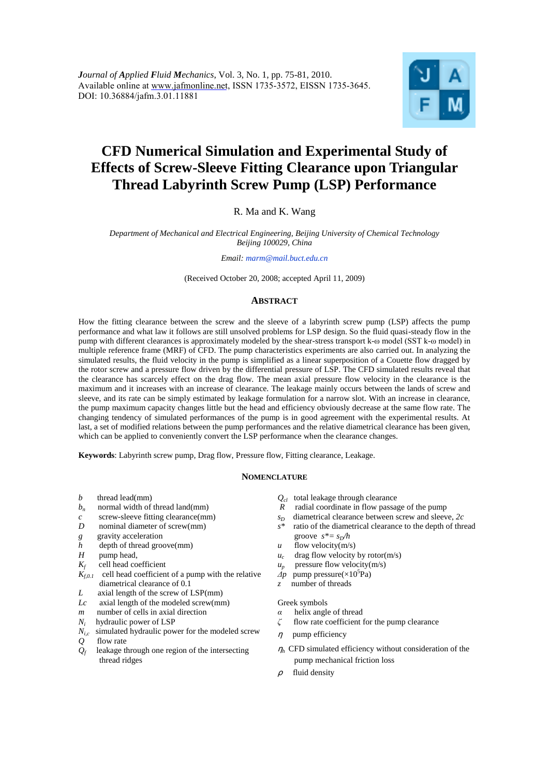

# **CFD Numerical Simulation and Experimental Study of Effects of Screw-Sleeve Fitting Clearance upon Triangular Thread Labyrinth Screw Pump (LSP) Performance**

R. Ma and K. Wang

*Department of Mechanical and Electrical Engineering, Beijing University of Chemical Technology Beijing 100029, China* 

*Email: marm@mail.buct.edu.cn*

(Received October 20, 2008; accepted April 11, 2009)

# **ABSTRACT**

How the fitting clearance between the screw and the sleeve of a labyrinth screw pump (LSP) affects the pump performance and what law it follows are still unsolved problems for LSP design. So the fluid quasi-steady flow in the pump with different clearances is approximately modeled by the shear-stress transport k-ω model (SST k-ω model) in multiple reference frame (MRF) of CFD. The pump characteristics experiments are also carried out. In analyzing the simulated results, the fluid velocity in the pump is simplified as a linear superposition of a Couette flow dragged by the rotor screw and a pressure flow driven by the differential pressure of LSP. The CFD simulated results reveal that the clearance has scarcely effect on the drag flow. The mean axial pressure flow velocity in the clearance is the maximum and it increases with an increase of clearance. The leakage mainly occurs between the lands of screw and sleeve, and its rate can be simply estimated by leakage formulation for a narrow slot. With an increase in clearance, the pump maximum capacity changes little but the head and efficiency obviously decrease at the same flow rate. The changing tendency of simulated performances of the pump is in good agreement with the experimental results. At last, a set of modified relations between the pump performances and the relative diametrical clearance has been given, which can be applied to conveniently convert the LSP performance when the clearance changes.

**Keywords**: Labyrinth screw pump, Drag flow, Pressure flow, Fitting clearance, Leakage.

# **NOMENCLATURE**

- *b* thread lead(mm)
- *bn* normal width of thread land(mm)
- *c* screw-sleeve fitting clearance(mm)
- *D* nominal diameter of screw(mm)
- *g* gravity acceleration
- *h* depth of thread groove(mm)
- *H* pump head,
- $K_f$ cell head coefficient
- $\tilde{K}_{f,0,I}$  cell head coefficient of a pump with the relative diametrical clearance of 0.1
- *L* axial length of the screw of LSP(mm)
- *Lc* axial length of the modeled screw(mm)
- *m* number of cells in axial direction
- *Ni* hydraulic power of LSP
- $N_{i,c}$  simulated hydraulic power for the modeled screw
- *Q* flow rate
- *Qf* leakage through one region of the intersecting thread ridges
- *Qcl* total leakage through clearance
- *R* radial coordinate in flow passage of the pump
- *sD* diametrical clearance between screw and sleeve, *2c*
- *s\** ratio of the diametrical clearance to the depth of thread groove  $s^* = s_D/h$
- $u$  flow velocity(m/s)
- $u_c$ drag flow velocity by rotor(m/s)
- $u_p$ pressure flow velocity(m/s)
- $\overrightarrow{dp}$  pump pressure( $\times 10^5$ Pa)
- *z* number of threads

#### Greek symbols

- *α* helix angle of thread
- *ζ* flow rate coefficient for the pump clearance
- ηpump efficiency
- $\eta_h$  CFD simulated efficiency without consideration of the pump mechanical friction loss
- ρfluid density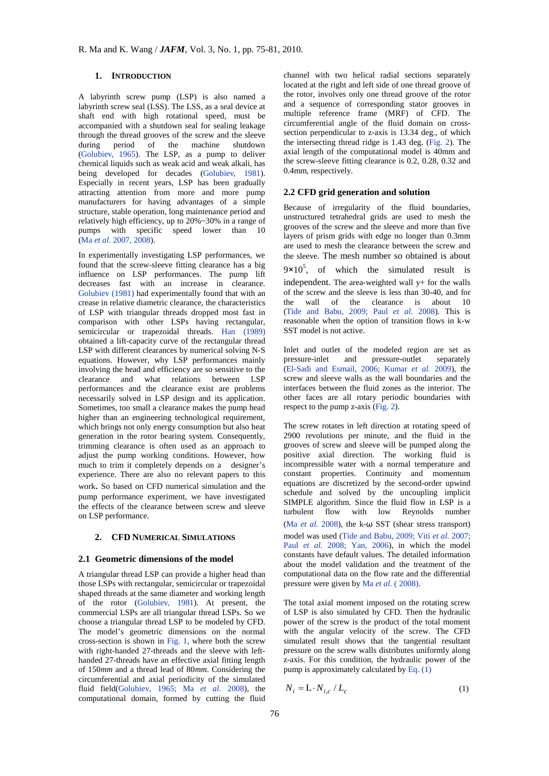# **1. INTRODUCTION**

A labyrinth screw pump (LSP) is also named a labyrinth screw seal (LSS). The LSS, as a seal device at shaft end with high rotational speed, must be accompanied with a shutdown seal for sealing leakage through the thread grooves of the screw and the sleeve during period of the machine shutdown (Golubiev, 1965). The LSP, as a pump to deliver chemical liquids such as weak acid and weak alkali, has being developed for decades (Golubiev, 1981). Especially in recent years, LSP has been gradually attracting attention from more and more pump manufacturers for having advantages of a simple structure, stable operation, long maintenance period and relatively high efficiency, up to 20%~30% in a range of pumps with specific speed lower than 10 (Ma *et al*. 2007, 2008).

In experimentally investigating LSP performances, we found that the screw-sleeve fitting clearance has a big influence on LSP performances. The pump lift decreases fast with an increase in clearance. Golubiev (1981) had experimentally found that with an crease in relative diametric clearance, the characteristics of LSP with triangular threads dropped most fast in comparison with other LSPs having rectangular, semicircular or trapezoidal threads. Han (1989) obtained a lift-capacity curve of the rectangular thread LSP with different clearances by numerical solving N-S equations. However, why LSP performances mainly involving the head and efficiency are so sensitive to the clearance and what relations between LSP performances and the clearance exist are problems necessarily solved in LSP design and its application. Sometimes, too small a clearance makes the pump head higher than an engineering technological requirement, which brings not only energy consumption but also heat generation in the rotor bearing system. Consequently, trimming clearance is often used as an approach to adjust the pump working conditions. However, how much to trim it completely depends on a designer's experience. There are also no relevant papers to this work. So based on CFD numerical simulation and the pump performance experiment, we have investigated the effects of the clearance between screw and sleeve on LSP performance.

## **2. CFD NUMERICAL SIMULATIONS**

# **2.1 Geometric dimensions of the model**

A triangular thread LSP can provide a higher head than those LSPs with rectangular, semicircular or trapezoidal shaped threads at the same diameter and working length of the rotor (Golubiev, 1981). At present, the commercial LSPs are all triangular thread LSPs. So we choose a triangular thread LSP to be modeled by CFD. The model's geometric dimensions on the normal cross-section is shown in Fig. 1, where both the screw with right-handed 27-threads and the sleeve with lefthanded 27-threads have an effective axial fitting length of 150*mm* and a thread lead of 80*mm*. Considering the circumferential and axial periodicity of the simulated fluid field(Golubiev, 1965; Ma *et al*. 2008), the computational domain, formed by cutting the fluid

channel with two helical radial sections separately located at the right and left side of one thread groove of the rotor, involves only one thread groove of the rotor and a sequence of corresponding stator grooves in multiple reference frame (MRF) of CFD. The circumferential angle of the fluid domain on crosssection perpendicular to z-axis is 13.34 deg., of which the intersecting thread ridge is 1.43 deg. (Fig. 2). The axial length of the computational model is 40mm and the screw-sleeve fitting clearance is 0.2, 0.28, 0.32 and 0.4mm, respectively.

# **2.2 CFD grid generation and solution**

Because of irregularity of the fluid boundaries, unstructured [tetrahedral](http://dict.cnki.net/dict_result.aspx?searchword=%e5%9b%9b%e9%9d%a2%e4%bd%93&tjType=sentence&style=&t=tetrahedral) grids are used to mesh the grooves of the screw and the sleeve and more than five layers of prism grids with edge no longer than 0.3mm are used to mesh the clearance between the screw and the sleeve. The mesh number so obtained is about  $9 \times 10^5$ , of which the simulated result is independent. The area-weighted wall  $y+$  for the walls of the screw and the sleeve is less than 30-40, and for the wall of the clearance is about 10 (Tide and Babu, 2009; Paul *et al.* 2008). This is reasonable when the option of transition flows in k-w SST model is not active.

Inlet and outlet of the modeled region are set as pressure-inlet and pressure-outlet separately (El-Sadi and Esmail, 2006; Kumar *et al.* 2009), the screw and sleeve walls as the wall boundaries and the interfaces between the fluid zones as the interior. The other faces are all rotary periodic boundaries with respect to the pump z-axis (Fig. 2).

The screw rotates in left direction at rotating speed of 2900 revolutions per minute, and the fluid in the grooves of screw and sleeve will be pumped along the positive axial direction. The working fluid is incompressible water with a normal temperature and constant properties. Continuity and momentum equations are discretized by the second-order upwind schedule and solved by the uncoupling implicit SIMPLE algorithm. Since the fluid flow in LSP is a turbulent flow with low Reynolds number (Ma *et al.* 2008), the k-ω SST (shear stress transport) model was used (Tide and Babu, 2009; Viti *et al.* 2007; Paul *et al.* 2008; Yan, 2006), in which the model constants have default values. The detailed information about the model validation and the treatment of the computational data on the flow rate and the differential pressure were given by Ma *et al.* ( 2008).

The total axial moment imposed on the rotating screw of LSP is also simulated by CFD. Then the hydraulic power of the screw is the product of the total moment with the angular velocity of the screw. The CFD simulated result shows that the tangential resultant pressure on the screw walls distributes uniformly along z-axis. For this condition, the hydraulic power of the pump is approximately calculated by Eq. (1)

$$
N_i = \mathbf{L} \cdot N_{i,c} / L_c \tag{1}
$$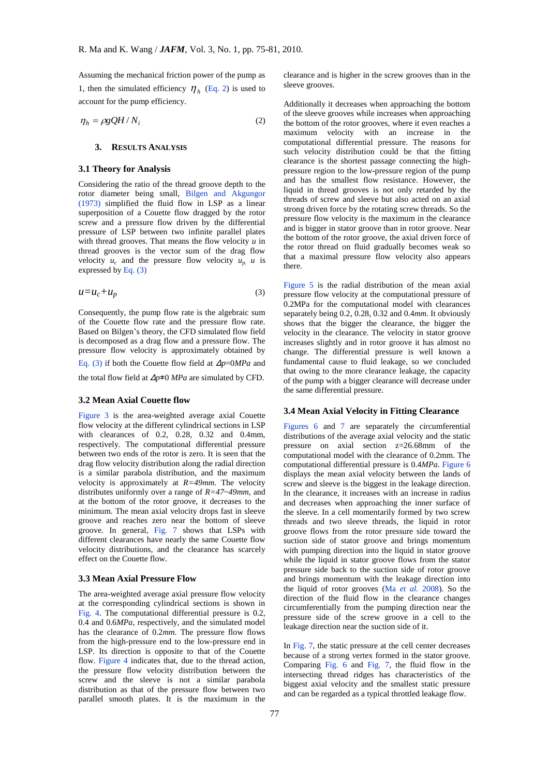Assuming the mechanical friction power of the pump as 1, then the simulated efficiency  $\eta_h$  (Eq. 2) is used to account for the pump efficiency.

$$
\eta_h = \rho g Q H / N_i \tag{2}
$$

#### **3. RESULTS ANALYSIS**

#### **3.1 Theory for Analysis**

Considering the ratio of the thread groove depth to the rotor diameter being small, Bilgen and Akgungor (1973) simplified the fluid flow in LSP as a linear [superposition](http://dict.cnki.net/dict_result.aspx?searchword=%e5%8f%a0%e5%8a%a0&tjType=sentence&style=&t=superposition) of a Couette flow dragged by the rotor screw and a pressure flow driven by the differential pressure of LSP between two infinite parallel plates with thread grooves. That means the flow velocity *u* in thread grooves is the vector sum of the drag flow velocity  $u_c$  and the pressure flow velocity  $u_p$  *u* is expressed by Eq.  $(3)$ 

$$
u = u_c + u_p \tag{3}
$$

Consequently, the pump flow rate is the algebraic sum of the Couette flow rate and the pressure flow rate. Based on Bilgen's theory, the CFD simulated flow field is decomposed as a drag flow and a pressure flow. The pressure flow velocity is approximately obtained by Eq. (3) if both the Couette flow field at Δ*p*=0*MPa* and

the total flow field at Δ*p*≠0 *MPa* are simulated by CFD.

#### **3.2 Mean Axial Couette flow**

Figure 3 is the area-weighted average axial Couette flow velocity at the different cylindrical sections in LSP with clearances of 0.2, 0.28, 0.32 and 0.4mm, respectively. The computational differential pressure between two ends of the rotor is zero. It is seen that the drag flow velocity distribution along the radial direction is a similar parabola distribution, and the maximum velocity is approximately at  $R=49$ mm. The velocity distributes uniformly over a range of *R=47~49mm*, and at the bottom of the rotor groove, it decreases to the minimum. The mean axial velocity drops fast in sleeve groove and reaches zero near the bottom of sleeve groove. In general, Fig. 7 shows that LSPs with different clearances have nearly the same Couette flow velocity distributions, and the clearance has scarcely effect on the Couette flow.

## **3.3 Mean Axial Pressure Flow**

The area-weighted average axial pressure flow velocity at the corresponding cylindrical sections is shown in Fig. 4. The computational differential pressure is 0.2, 0.4 and 0.6*MPa*, respectively, and the simulated model has the clearance of 0.2*mm*. The pressure flow flows from the high-pressure end to the low-pressure end in LSP. Its direction is opposite to that of the Couette flow. Figure 4 indicates that, due to the thread action, the pressure flow velocity distribution between the screw and the sleeve is not a similar parabola distribution as that of the pressure flow between two parallel smooth plates. It is the maximum in the

clearance and is higher in the screw grooves than in the sleeve grooves.

Additionally it decreases when approaching the bottom of the sleeve grooves while increases when approaching the bottom of the rotor grooves, where it even reaches a maximum velocity with an increase in the computational differential pressure. The reasons for such velocity distribution could be that the fitting clearance is the shortest passage connecting the highpressure region to the low-pressure region of the pump and has the smallest flow resistance. However, the liquid in thread grooves is not only retarded by the threads of screw and sleeve but also acted on an axial strong driven force by the rotating screw threads. So the pressure flow velocity is the maximum in the clearance and is bigger in stator groove than in rotor groove. Near the bottom of the rotor groove, the axial driven force of the rotor thread on fluid gradually becomes weak so that a maximal pressure flow velocity also appears there.

Figure 5 is the radial distribution of the mean axial pressure flow velocity at the computational pressure of 0.2MPa for the computational model with clearances separately being 0.2, 0.28, 0.32 and 0.4*mm*. It obviously shows that the bigger the clearance, the bigger the velocity in the clearance. The velocity in stator groove increases slightly and in rotor groove it has almost no change. The differential pressure is well known a fundamental cause to fluid leakage, so we concluded that owing to the more clearance leakage, the capacity of the pump with a bigger clearance will decrease under the same differential pressure.

## **3.4 Mean Axial Velocity in Fitting Clearance**

Figures 6 and 7 are separately the circumferential distributions of the average axial velocity and the static pressure on axial section z=26.68mm of the computational model with the clearance of 0.2mm. The computational differential pressure is 0.4*MPa*. Figure 6 displays the mean axial velocity between the lands of screw and sleeve is the biggest in the leakage direction. In the clearance, it increases with an increase in radius and decreases when approaching the inner surface of the sleeve. In a cell momentarily formed by two screw threads and two sleeve threads, the liquid in rotor groove flows from the rotor pressure side toward the suction side of stator groove and brings momentum with pumping direction into the liquid in stator groove while the liquid in stator groove flows from the stator pressure side back to the suction side of rotor groove and brings momentum with the leakage direction into the liquid of rotor grooves (Ma *et al.* 2008). So the direction of the fluid flow in the clearance changes circumferentially from the pumping direction near the pressure side of the screw groove in a cell to the leakage direction near the suction side of it.

In Fig. 7, the static pressure at the cell center decreases because of a strong vertex formed in the stator groove. Comparing Fig. 6 and Fig. 7, the fluid flow in the intersecting thread ridges has characteristics of the biggest axial velocity and the smallest static pressure and can be regarded as a typical throttled leakage flow.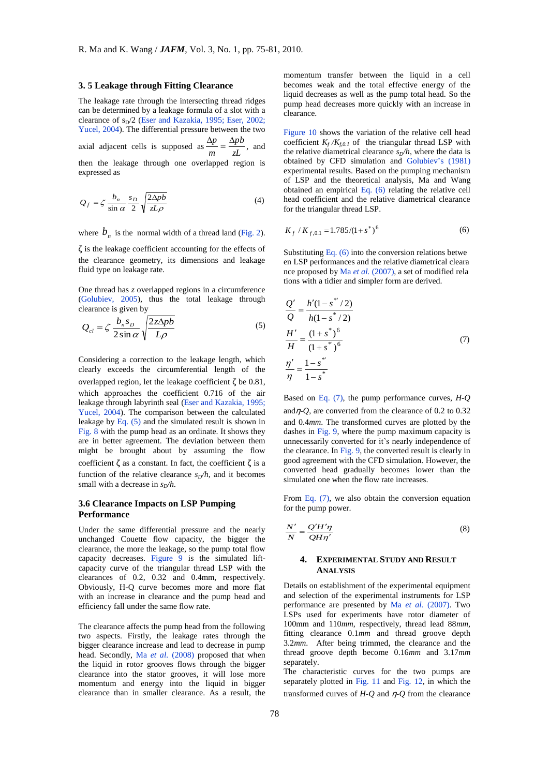# **3. 5 Leakage through Fitting Clearance**

The leakage rate through the intersecting thread ridges can be determined by a leakage formula of a slot with a clearance of  $s_D/2$  (Eser and Kazakia, 1995; Eser, 2002; Yucel, 2004). The differential pressure between the two axial adjacent cells is supposed as  $\frac{2p}{m} = \frac{2p}{zL}$ *pb m*  $\frac{\Delta p}{\Delta p} = \frac{\Delta p b}{\Delta q}$ , and then the leakage through one overlapped region is expressed as

$$
Q_f = \zeta \frac{b_n}{\sin \alpha} \frac{s_D}{2} \sqrt{\frac{2\Delta p b}{z L \rho}}
$$
(4)

where  $b_n$  is the normal width of a thread land (Fig. 2).

 $\zeta$  is the leakage coefficient accounting for the effects of the clearance geometry, its dimensions and leakage fluid type on leakage rate.

One thread has *z* overlapped regions in a circumference (Golubiev, 2005), thus the total leakage through clearance is given by

$$
Q_{cl} = \zeta \frac{b_n s_D}{2 \sin \alpha} \sqrt{\frac{2z \Delta p b}{L \rho}}
$$
 (5)

Considering a correction to the leakage length, which clearly exceeds the circumferential length of the overlapped region, let the leakage coefficient ζ be 0.81, which approaches the coefficient 0.716 of the air leakage through labyrinth seal (Eser and Kazakia, 1995; Yucel, 2004). The comparison between the calculated leakage by Eq. (5) and the simulated result is shown in Fig. 8 with the pump head as an ordinate. It shows they are in better agreement. The deviation between them might be brought about by assuming the flow coefficient  $\zeta$  as a constant. In fact, the coefficient  $\zeta$  is a function of the relative clearance  $s_D/h$ , and it becomes small with a decrease in  $s_D/h$ .

# **3.6 Clearance Impacts on LSP Pumping Performance**

Under the same differential pressure and the nearly unchanged Couette flow capacity, the bigger the clearance, the more the leakage, so the pump total flow capacity decreases. Figure 9 is the simulated liftcapacity curve of the triangular thread LSP with the clearances of 0.2, 0.32 and 0.4mm, respectively. Obviously, H-Q curve becomes more and more flat with an increase in clearance and the pump head and efficiency fall under the same flow rate.

The clearance affects the pump head from the following two aspects. Firstly, the leakage rates through the bigger clearance increase and lead to decrease in pump head. Secondly, Ma *et al.* (2008) proposed that when the liquid in rotor grooves flows through the bigger clearance into the stator grooves, it will lose more momentum and energy into the liquid in bigger clearance than in smaller clearance. As a result, the momentum transfer between the liquid in a cell becomes weak and the total effective energy of the liquid decreases as well as the pump total head. So the pump head decreases more quickly with an increase in clearance.

Figure 10 shows the variation of the relative cell head coefficient  $K_f/K_{f,0,I}$  of the triangular thread LSP with the relative diametrical clearance  $s_D/h$ , where the data is obtained by CFD simulation and Golubiev's (1981) experimental results. Based on the pumping mechanism of LSP and the theoretical analysis, Ma and Wang obtained an empirical Eq. (6) relating the relative cell head coefficient and the relative diametrical clearance for the triangular thread LSP.

$$
K_f / K_{f,0.1} = 1.785 / (1 + s^*)^6
$$
 (6)

Substituting Eq.  $(6)$  into the conversion relations betwe en LSP performances and the relative diametrical cleara nce proposed by Ma *et al.* (2007), a set of modified rela tions with a tidier and simpler form are derived.

$$
\frac{Q'}{Q} = \frac{h'(1 - s^{*}/2)}{h(1 - s^{*}/2)}
$$
\n
$$
\frac{H'}{H} = \frac{(1 + s^{*})^6}{(1 + s^{*})^6}
$$
\n
$$
\frac{\eta'}{\eta} = \frac{1 - s^{*}}{1 - s^{*}}
$$
\n(7)

Based on Eq. (7), the pump performance curves, *H-Q* andη*-Q*, are converted from the clearance of 0.2 to 0.32 and 0.4*mm*. The transformed curves are plotted by the dashes in Fig. 9, where the pump maximum capacity is unnecessarily converted for it's nearly independence of the clearance. In Fig. 9, the converted result is clearly in good agreement with the CFD simulation. However, the converted head gradually becomes lower than the simulated one when the flow rate increases.

From Eq. (7), we also obtain the conversion equation for the pump power.

$$
\frac{N'}{N} = \frac{Q'H'\eta}{QH\eta'}
$$
\n(8)

# **4. EXPERIMENTAL STUDY AND RESULT ANALYSIS**

Details on establishment of the experimental equipment and selection of the experimental instruments for LSP performance are presented by Ma *et al.* (2007). Two LSPs used for experiments have rotor diameter of 100mm and 110*mm*, respectively, thread lead 88*mm*, fitting clearance 0.1*mm* and thread groove depth 3.2*mm*. After being trimmed, the clearance and the thread groove depth become 0.16*mm* and 3.17*mm* separately.

The characteristic curves for the two pumps are separately plotted in Fig. 11 and Fig. 12, in which the transformed curves of *H-Q* and η*-Q* from the clearance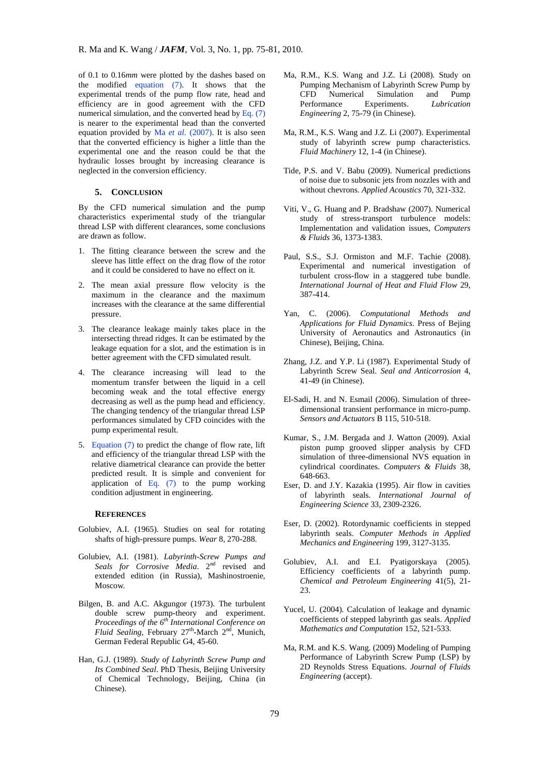of 0.1 to 0.16*mm* were plotted by the dashes based on the modified equation (7). It shows that the experimental trends of the pump flow rate, head and efficiency are in good agreement with the CFD numerical simulation, and the converted head by Eq.  $(7)$ is nearer to the experimental head than the converted equation provided by Ma *et al.* (2007). It is also seen that the converted efficiency is higher a little than the experimental one and the reason could be that the hydraulic losses brought by increasing clearance is neglected in the conversion efficiency.

# **5. CONCLUSION**

By the CFD numerical simulation and the pump characteristics experimental study of the triangular thread LSP with different clearances, some conclusions are drawn as follow.

- 1. The fitting clearance between the screw and the sleeve has little effect on the drag flow of the rotor and it could be considered to have no effect on it.
- 2. The mean axial pressure flow velocity is the maximum in the clearance and the maximum increases with the clearance at the same differential pressure.
- 3. The clearance leakage mainly takes place in the intersecting thread ridges. It can be estimated by the leakage equation for a slot, and the estimation is in better agreement with the CFD simulated result.
- 4. The clearance increasing will lead to the momentum transfer between the liquid in a cell becoming weak and the total effective energy decreasing as well as the pump head and efficiency. The changing tendency of the triangular thread LSP performances simulated by CFD coincides with the pump experimental result.
- 5. Equation (7) to predict the change of flow rate, lift and efficiency of the triangular thread LSP with the relative diametrical clearance can provide the better predicted result. It is simple and convenient for application of Eq. (7) to the pump working condition adjustment in engineering.

#### **REFERENCES**

- Golubiev, A.I. (1965). Studies on seal for rotating shafts of high-pressure pumps. *Wear* 8, 270-288.
- Golubiev, A.I. (1981). *Labyrinth-Screw Pumps and*  Seals for Corrosive Media. 2<sup>nd</sup> revised and extended edition (in Russia), Mashinostroenie, Moscow.
- Bilgen, B. and A.C. Akgungor (1973). The turbulent double screw pump-theory and experiment. *Proceedings of the 6 th International Conference on*  Fluid Sealing, February 27<sup>th</sup>-March 2<sup>nd</sup>, Munich, German Federal Republic G4, 45-60.
- Han, G.J. (1989). *Study of Labyrinth Screw Pump and Its Combined Seal*. PhD Thesis, Beijing University of Chemical Technology, Beijing, China (in Chinese).
- Ma, R.M., K.S. Wang and J.Z. Li (2008). Study on Pumping Mechanism of Labyrinth Screw Pump by CFD Numerical Simulation and Pump Performance Experiments. *Lubrication Engineering* 2, 75-79 (in Chinese).
- Ma, R.M., K.S. Wang and J.Z. Li (2007). Experimental study of labyrinth screw pump characteristics. *Fluid Machinery* 12, 1-4 (in Chinese).
- Tide, P.S. and V. Babu (2009). Numerical predictions of noise due to subsonic jets from nozzles with and without chevrons. *Applied Acoustics* 70, 321-332.
- Viti, V., G. Huang and P. Bradshaw (2007). Numerical study of stress-transport turbulence models: Implementation and validation issues, *Computers & Fluids* 36, 1373-1383.
- Paul, S.S., S.J. Ormiston and M.F. Tachie (2008). Experimental and numerical investigation of turbulent cross-flow in a staggered tube bundle. *International Journal of Heat and Fluid Flow* 29, 387-414.
- Yan, C. (2006). *Computational Methods and Applications for Fluid Dynamics*. Press of Bejing University of Aeronautics and Astronautics (in Chinese), Beijing, China.
- Zhang, J.Z. and Y.P. Li (1987). Experimental Study of Labyrinth Screw Seal. *Seal and Anticorrosion* 4, 41-49 (in Chinese).
- El-Sadi, H. and N. Esmail (2006). Simulation of threedimensional transient performance in micro-pump. *Sensors and Actuators* B 115, 510-518.
- Kumar, S., J.M. Bergada and J. Watton (2009). Axial piston pump grooved slipper analysis by CFD simulation of three-dimensional NVS equation in cylindrical coordinates. *Computers & Fluids* 38, 648-663.
- Eser, D. and J.Y. Kazakia (1995). Air flow in cavities of labyrinth seals. *International Journal of Engineering Science* 33, 2309-2326.
- Eser, D. (2002). Rotordynamic coefficients in stepped labyrinth seals. *Computer Methods in Applied Mechanics and Engineering* 199, 3127-3135.
- Golubiev, A.I. and E.I. Pyatigorskaya (2005). Efficiency coefficients of a labyrinth pump. *Chemical and Petroleum Engineering* 41(5), 21- 23.
- Yucel, U. (2004). Calculation of leakage and dynamic coefficients of stepped labyrinth gas seals. *Applied Mathematics and Computation* 152, 521-533.
- Ma, R.M. and K.S. Wang. (2009) Modeling of Pumping Performance of Labyrinth Screw Pump (LSP) by 2D Reynolds Stress Equations. *Journal of Fluids Engineering* (accept).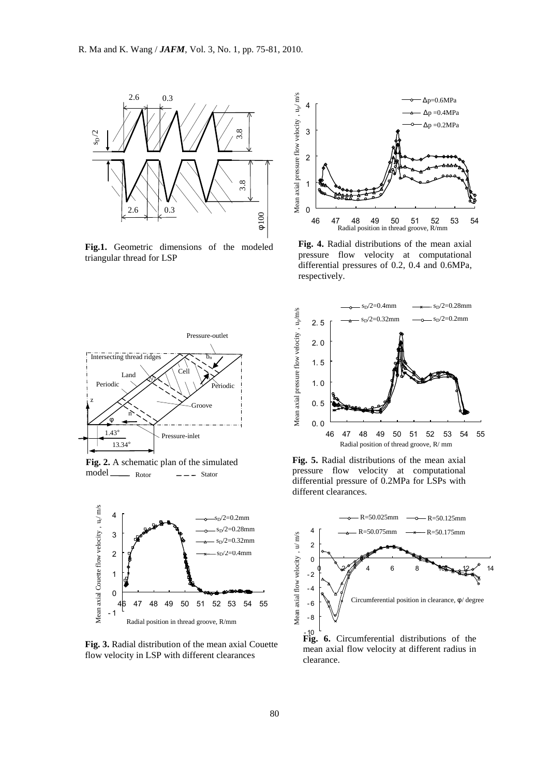

**Fig.1.** Geometric dimensions of the modeled triangular thread for LSP



 $\text{model} \_\_\_\_$  Rotor  $\_\_\_\_\_\_$  Stator **Fig. 2.** A schematic plan of the simulated



**Fig. 3.** Radial distribution of the mean axial Couette flow velocity in LSP with different clearances



**Fig. 4.** Radial distributions of the mean axial pressure flow velocity at computational differential pressures of 0.2, 0.4 and 0.6MPa, respectively.



**Fig. 5.** Radial distributions of the mean axial pressure flow velocity at computational differential pressure of 0.2MPa for LSPs with different clearances.



mean axial flow velocity at different radius in clearance.